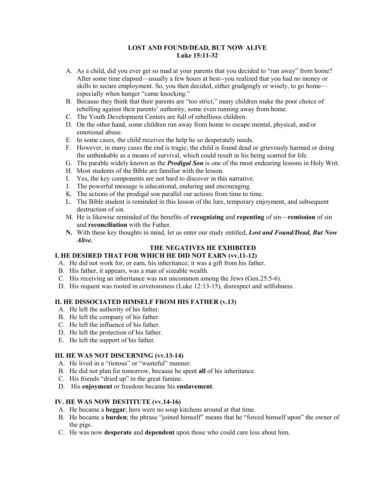### **LOST AND FOUND/DEAD, BUT NOW ALIVE Luke 15:11-32**

- A. As a child, did you ever get so mad at your parents that you decided to "run away" from home? After some time elapsed—usually a few hours at best--you realized that you had no money or skills to secure employment. So, you then decided, either grudgingly or wisely, to go home especially when hunger "came knocking."
- B. Because they think that their parents are "too strict," many children make the poor choice of rebelling against their parents' authority, some even running away from home.
- C. The Youth Development Centers are full of rebellious children.
- D. On the other hand, some children run away from home to escape mental, physical, and/or emotional abuse.
- E. In some cases, the child receives the help he so desperately needs.
- F. However, in many cases the end is tragic; the child is found dead or grievously harmed or doing the unthinkable as a means of survival, which could result in his being scarred for life.
- G. The parable widely known as the *Prodigal Son* is one of the most endearing lessons in Holy Writ.
- H. Most students of the Bible are familiar with the lesson.
- I. Yes, the key components are not hard to discover in this narrative.
- J. The powerful message is educational, enduring and encouraging.
- K. The actions of the prodigal son parallel our actions from time to time.
- L. The Bible student is reminded in this lesson of the lure, temporary enjoyment, and subsequent destruction of sin.
- M. He is likewise reminded of the benefits of **recognizing** and **repenting** of sin—**remission** of sin and **reconciliation** with the Father.
- **N.** With these key thoughts in mind, let us enter our study entitled, *Lost and Found/Dead, But Now Alive.*

# **THE NEGATIVES HE EXHIBITED**

#### **I. HE DESIRED THAT FOR WHICH HE DID NOT EARN (vv.11-12)**

- A. He did not work for, or earn, his inheritance; it was a gift from his father.
- B. His father, it appears, was a man of sizeable wealth.
- C. His receiving an inheritance was not uncommon among the Jews (Gen.25:5-6).
- D. His request was rooted in covetousness (Luke 12:13-15), disrespect and selfishness.

# **II. HE DISSOCIATED HIMSELF FROM HIS FATHER (v.13)**

- A. He left the authority of his father.
- B. He left the company of his father.
- C. He left the influence of his father.
- D. He left the protection of his father.
- E. He left the support of his father.

#### **III. HE WAS NOT DISCERNING (vv.13-14)**

- A. He lived in a "riotous" or "wasteful" manner.
- B. He did not plan for tomorrow, because he spent **all** of his inheritance.
- C. His friends "dried up" in the great famine.
- D. His **enjoyment** or freedom became his **enslavement**.

#### **IV. HE WAS NOW DESTITUTE (vv.14-16)**

- A. He became a **beggar**; here were no soup kitchens around at that time.
- B. He became a **burden**; the phrase "joined himself" means that he "forced himself upon" the owner of the pigs.
- C. He was now **desperate** and **dependent** upon those who could care less about him.